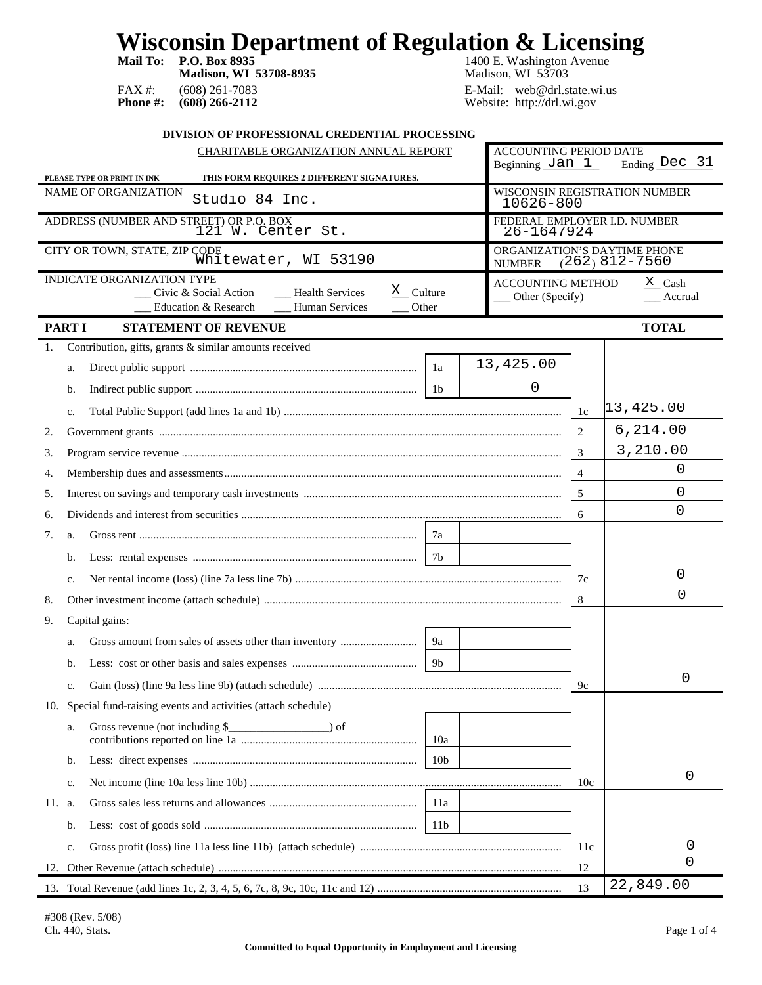**Mail To: P.O. Box 8935 1400 E. Washington Avenue Madison, WI 53708-8935** Madison, WI 53703 FAX #: (608) 261-7083<br> **Phone #: (608) 266-2112** E-Mail: web@drl.state.wi.us<br>
Website: http://drl.wi.gov Website: http://drl.wi.gov

| DIVISION OF PROFESSIONAL CREDENTIAL PROCESSING                                                                                                                  |                                                    |                                                  |  |  |
|-----------------------------------------------------------------------------------------------------------------------------------------------------------------|----------------------------------------------------|--------------------------------------------------|--|--|
| CHARITABLE ORGANIZATION ANNUAL REPORT                                                                                                                           | <b>ACCOUNTING PERIOD DATE</b><br>Beginning $Jan_1$ | Ending Dec 31                                    |  |  |
| THIS FORM REQUIRES 2 DIFFERENT SIGNATURES.<br>PLEASE TYPE OR PRINT IN INK                                                                                       |                                                    |                                                  |  |  |
| NAME OF ORGANIZATION<br>Studio 84 Inc.                                                                                                                          | 10626-800                                          | WISCONSIN REGISTRATION NUMBER                    |  |  |
| ADDRESS (NUMBER AND STREET) OR P.O. BOX<br>121 W. Center St.                                                                                                    | 26-1647924                                         | FEDERAL EMPLOYER I.D. NUMBER                     |  |  |
| CITY OR TOWN, STATE, ZIP CODE<br>Whitewater, WI 53190<br><b>NUMBER</b>                                                                                          |                                                    | ORGANIZATION'S DAYTIME PHONE<br>$(262)$ 812-7560 |  |  |
| <b>INDICATE ORGANIZATION TYPE</b><br>$X_{\text{Cluster}}$<br><b>Health Services</b><br>Civic & Social Action<br>Education & Research<br>Human Services<br>Other | <b>ACCOUNTING METHOD</b><br>$\_\_$ Other (Specify) | $X$ Cash<br>Accrual                              |  |  |
| <b>PART I</b><br><b>STATEMENT OF REVENUE</b>                                                                                                                    |                                                    | <b>TOTAL</b>                                     |  |  |
| Contribution, gifts, grants & similar amounts received<br>1.                                                                                                    |                                                    |                                                  |  |  |
| 13,425.00<br>1a<br>a.                                                                                                                                           |                                                    |                                                  |  |  |
| b.                                                                                                                                                              | 0                                                  |                                                  |  |  |
| c.                                                                                                                                                              | 1c                                                 | 13,425.00                                        |  |  |
| 2.                                                                                                                                                              | 2                                                  | 6,214.00                                         |  |  |
| 3.                                                                                                                                                              | 3                                                  | 3,210.00                                         |  |  |
| 4.                                                                                                                                                              | $\overline{4}$                                     | 0                                                |  |  |
| 5.                                                                                                                                                              | 5                                                  | 0                                                |  |  |
| 6.                                                                                                                                                              | 6                                                  | 0                                                |  |  |
| 7.<br>7a<br>a.                                                                                                                                                  |                                                    |                                                  |  |  |
| 7b<br>b.                                                                                                                                                        |                                                    |                                                  |  |  |
| c.                                                                                                                                                              | 7c                                                 | 0                                                |  |  |
| 8.                                                                                                                                                              | 8                                                  | $\Omega$                                         |  |  |
| Capital gains:<br>9.                                                                                                                                            |                                                    |                                                  |  |  |
| 9a<br>a.                                                                                                                                                        |                                                    |                                                  |  |  |
| 9 <sub>b</sub><br>b.                                                                                                                                            |                                                    |                                                  |  |  |
| c.                                                                                                                                                              | 9c                                                 | 0                                                |  |  |
| 10. Special fund-raising events and activities (attach schedule)                                                                                                |                                                    |                                                  |  |  |
| a.<br>10a                                                                                                                                                       |                                                    |                                                  |  |  |
| 10 <sub>b</sub><br>$\mathbf b$ .                                                                                                                                |                                                    |                                                  |  |  |
| c.                                                                                                                                                              | 10c                                                | 0                                                |  |  |
| 11. a.<br>11a                                                                                                                                                   |                                                    |                                                  |  |  |
| 11 <sub>b</sub><br>b.                                                                                                                                           |                                                    |                                                  |  |  |
| $\mathbf{c}.$                                                                                                                                                   | 11c                                                | 0                                                |  |  |
| 12.                                                                                                                                                             | 12                                                 | 0                                                |  |  |
|                                                                                                                                                                 | 13                                                 | 22,849.00                                        |  |  |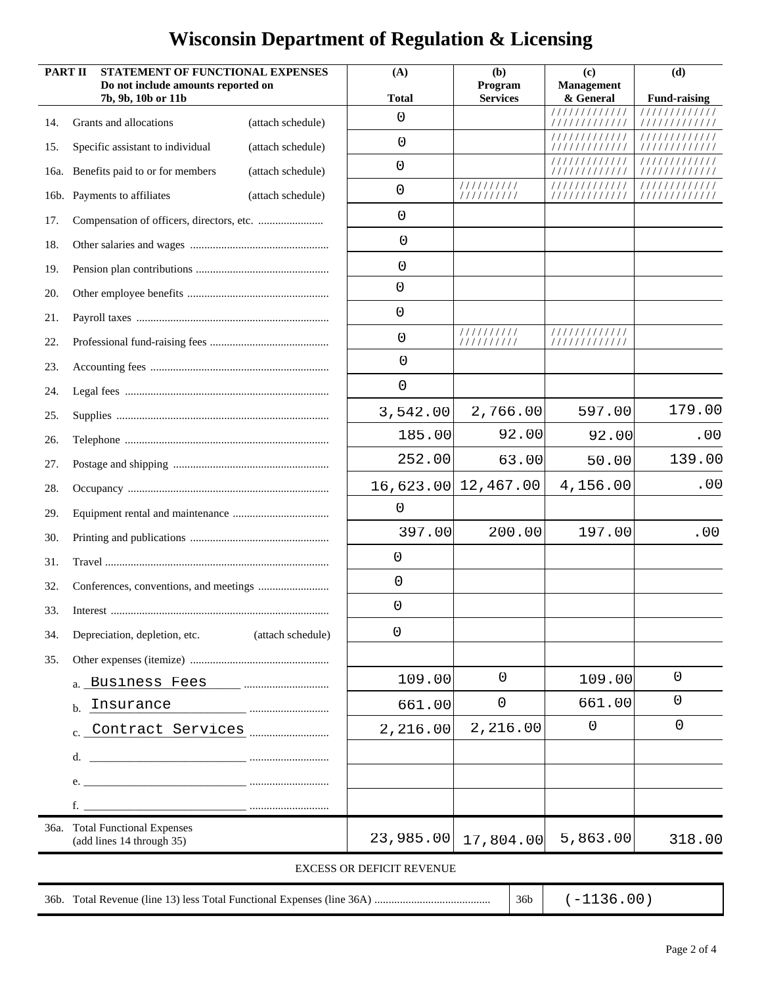| <b>PART II</b> | STATEMENT OF FUNCTIONAL EXPENSES<br>Do not include amounts reported on<br>7b, 9b, 10b or 11b |                   | (A)<br><b>Total</b>       | (b)<br>Program<br><b>Services</b> | (c)<br><b>Management</b><br>& General | (d)<br><b>Fund-raising</b> |
|----------------|----------------------------------------------------------------------------------------------|-------------------|---------------------------|-----------------------------------|---------------------------------------|----------------------------|
| 14.            | Grants and allocations                                                                       | (attach schedule) | 0                         |                                   | /////////////<br>/////////////        | 11111111<br>/////////////  |
| 15.            | Specific assistant to individual                                                             | (attach schedule) | 0                         |                                   | /////////////                         |                            |
| 16a.           | Benefits paid to or for members                                                              | (attach schedule) | 0                         |                                   | ' / / / / / / / / / / /               | /////////                  |
|                | 16b. Payments to affiliates                                                                  | (attach schedule) | 0                         | 1111111111<br>1111111111          | ////////////<br>/////////////         | 11111111<br>////////////   |
| 17.            |                                                                                              |                   | 0                         |                                   |                                       |                            |
| 18.            |                                                                                              |                   | 0                         |                                   |                                       |                            |
| 19.            |                                                                                              |                   | 0                         |                                   |                                       |                            |
| 20.            |                                                                                              |                   | 0                         |                                   |                                       |                            |
| 21.            |                                                                                              |                   | 0                         |                                   |                                       |                            |
| 22.            |                                                                                              |                   | 0                         | 1111111111<br>1111111111          | 1111111111111<br>1111111111111        |                            |
| 23.            |                                                                                              |                   | 0                         |                                   |                                       |                            |
| 24.            |                                                                                              |                   | 0                         |                                   |                                       |                            |
| 25.            |                                                                                              |                   | 3,542.00                  | 2,766.00                          | 597.00                                | 179.00                     |
| 26.            |                                                                                              |                   | 185.00                    | 92.00                             | 92.00                                 | .00                        |
| 27.            |                                                                                              |                   | 252.00                    | 63.00                             | 50.00                                 | 139.00                     |
| 28.            |                                                                                              |                   |                           | 16,623.00 12,467.00               | 4,156.00                              | .00                        |
| 29.            |                                                                                              |                   | 0                         |                                   |                                       |                            |
| 30.            |                                                                                              |                   | 397.00                    | 200.00                            | 197.00                                | .00                        |
| 31.            |                                                                                              |                   | 0                         |                                   |                                       |                            |
| 32.            |                                                                                              |                   | 0                         |                                   |                                       |                            |
| 33.            |                                                                                              |                   | 0                         |                                   |                                       |                            |
| 34.            | Depreciation, depletion, etc.                                                                | (attach schedule) | 0                         |                                   |                                       |                            |
| 35.            |                                                                                              |                   |                           |                                   |                                       |                            |
|                |                                                                                              |                   | 109.00                    | $\Omega$                          | 109.00                                | $\mathbf 0$                |
|                | Insurance<br>$\mathbf{b}$ .                                                                  | $\cdots$          | 661.00                    | 0                                 | 661.00                                | 0                          |
|                |                                                                                              |                   | 2,216.00                  | 2,216.00                          | 0                                     | 0                          |
|                | d.                                                                                           |                   |                           |                                   |                                       |                            |
|                |                                                                                              |                   |                           |                                   |                                       |                            |
|                | $f.$ $\qquad \qquad \ldots$                                                                  |                   |                           |                                   |                                       |                            |
|                | 36a. Total Functional Expenses<br>(add lines 14 through 35)                                  |                   | 23,985.00                 | 17,804.00                         | 5,863.00                              | 318.00                     |
|                |                                                                                              |                   | EXCESS OR DEFICIT REVENUE |                                   |                                       |                            |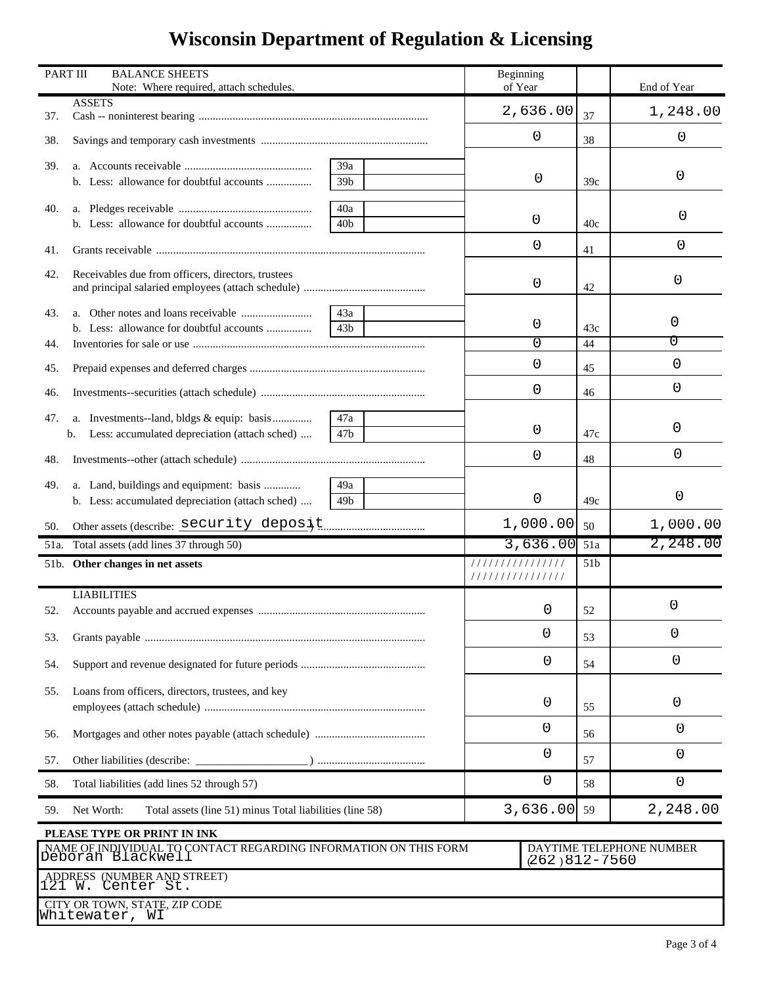| PART III                                                                              | <b>BALANCE SHEETS</b><br>Note: Where required, attach schedules.                           |                 | Beginning<br>of Year |                                               |                        | End of Year          |
|---------------------------------------------------------------------------------------|--------------------------------------------------------------------------------------------|-----------------|----------------------|-----------------------------------------------|------------------------|----------------------|
| 37.                                                                                   | <b>ASSETS</b>                                                                              |                 | 2,636.00             |                                               | 37                     | 1,248.00             |
| 38.                                                                                   |                                                                                            |                 | 0                    |                                               | 38                     | 0                    |
| 39.                                                                                   |                                                                                            | 39a             |                      |                                               |                        |                      |
|                                                                                       | b. Less: allowance for doubtful accounts                                                   | 39 <sub>b</sub> |                      | 0                                             | 39c                    | 0                    |
| 40.                                                                                   |                                                                                            | 40a             |                      | 0                                             |                        | 0                    |
|                                                                                       | b. Less: allowance for doubtful accounts                                                   | 40b             |                      |                                               | 40c                    |                      |
| 41.                                                                                   |                                                                                            |                 |                      | 0                                             | 41                     | 0                    |
| 42.                                                                                   | Receivables due from officers, directors, trustees                                         |                 |                      | 0                                             | 42                     | 0                    |
| 43.                                                                                   |                                                                                            | 43a             |                      |                                               |                        |                      |
|                                                                                       |                                                                                            | 43 <sub>b</sub> |                      | 0                                             | 43c                    | 0                    |
| 44.                                                                                   |                                                                                            |                 |                      | $\Omega$                                      | 44                     | 0                    |
| 45.                                                                                   |                                                                                            |                 |                      | 0                                             | 45                     | 0                    |
| 46.                                                                                   |                                                                                            |                 |                      | 0                                             | 46                     | 0                    |
| 47.                                                                                   | a. Investments--land, bldgs & equip: basis                                                 | 47a             |                      |                                               |                        |                      |
|                                                                                       | Less: accumulated depreciation (attach sched)<br>b.                                        | 47b             |                      | 0                                             | 47c                    | 0                    |
| 48.                                                                                   |                                                                                            |                 |                      | 0                                             | 48                     | 0                    |
| 49.                                                                                   | a. Land, buildings and equipment: basis                                                    | 49a             |                      | 0                                             |                        | 0                    |
|                                                                                       | b. Less: accumulated depreciation (attach sched)                                           | 49b             |                      |                                               | 49c<br>50              |                      |
| 51a.                                                                                  | Other assets (describe: Security deposit.<br>50.<br>Total assets (add lines 37 through 50) |                 |                      | 1,000.00<br>3,636.00                          |                        | 1,000.00<br>2,248.00 |
|                                                                                       | 51b. Other changes in net assets                                                           |                 | ////////////////     |                                               | 51a<br>51 <sub>b</sub> |                      |
|                                                                                       |                                                                                            |                 | ///////////////      |                                               |                        |                      |
|                                                                                       | <b>LIABILITIES</b>                                                                         |                 |                      |                                               |                        | 0                    |
| 52.                                                                                   |                                                                                            |                 | 0                    |                                               | 52                     |                      |
| 53.                                                                                   |                                                                                            |                 | 0                    |                                               | 53                     | 0                    |
| 54.                                                                                   |                                                                                            |                 |                      | 0                                             |                        | 0                    |
| 55.                                                                                   | Loans from officers, directors, trustees, and key                                          |                 |                      | 0                                             |                        | 0                    |
| 56.                                                                                   |                                                                                            |                 |                      | 0                                             | 56                     | 0                    |
| 57.                                                                                   |                                                                                            |                 |                      | 0                                             | 57                     | $\mathbf 0$          |
| 58.                                                                                   | Total liabilities (add lines 52 through 57)                                                |                 |                      | 0                                             | 58                     | 0                    |
| 59.                                                                                   | Net Worth:<br>Total assets (line 51) minus Total liabilities (line 58)                     |                 |                      | 3,636.00                                      | 59                     | 2,248.00             |
|                                                                                       | PLEASE TYPE OR PRINT IN INK                                                                |                 |                      |                                               |                        |                      |
| NAME OF INDIVIDUAL TO CONTACT REGARDING INFORMATION ON THIS FORM<br>Deborah Blackwell |                                                                                            |                 |                      | DAYTIME TELEPHONE NUMBER<br>$(262)812 - 7560$ |                        |                      |
| ADDRESS (NUMBER AND STREET)<br>121 W. Center St.                                      |                                                                                            |                 |                      |                                               |                        |                      |
|                                                                                       | CITY OR TOWN, STATE, ZIP CODE<br>Whitewater, WI                                            |                 |                      |                                               |                        |                      |